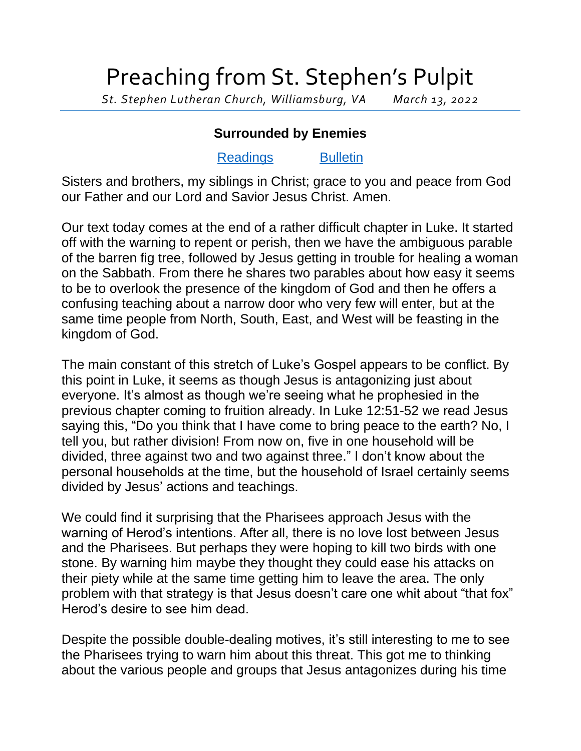## Preaching from St. Stephen's Pulpit

*St. Stephen Lutheran Church, Williamsburg, VA March 13, 2022*

## **Surrounded by Enemies**

## [Readings](https://lectionary.library.vanderbilt.edu/texts.php?id=119) [Bulletin](http://www.saintstephenlutheran.net/sunday-bulletins/)

Sisters and brothers, my siblings in Christ; grace to you and peace from God our Father and our Lord and Savior Jesus Christ. Amen.

Our text today comes at the end of a rather difficult chapter in Luke. It started off with the warning to repent or perish, then we have the ambiguous parable of the barren fig tree, followed by Jesus getting in trouble for healing a woman on the Sabbath. From there he shares two parables about how easy it seems to be to overlook the presence of the kingdom of God and then he offers a confusing teaching about a narrow door who very few will enter, but at the same time people from North, South, East, and West will be feasting in the kingdom of God.

The main constant of this stretch of Luke's Gospel appears to be conflict. By this point in Luke, it seems as though Jesus is antagonizing just about everyone. It's almost as though we're seeing what he prophesied in the previous chapter coming to fruition already. In Luke 12:51-52 we read Jesus saying this, "Do you think that I have come to bring peace to the earth? No, I tell you, but rather division! From now on, five in one household will be divided, three against two and two against three." I don't know about the personal households at the time, but the household of Israel certainly seems divided by Jesus' actions and teachings.

We could find it surprising that the Pharisees approach Jesus with the warning of Herod's intentions. After all, there is no love lost between Jesus and the Pharisees. But perhaps they were hoping to kill two birds with one stone. By warning him maybe they thought they could ease his attacks on their piety while at the same time getting him to leave the area. The only problem with that strategy is that Jesus doesn't care one whit about "that fox" Herod's desire to see him dead.

Despite the possible double-dealing motives, it's still interesting to me to see the Pharisees trying to warn him about this threat. This got me to thinking about the various people and groups that Jesus antagonizes during his time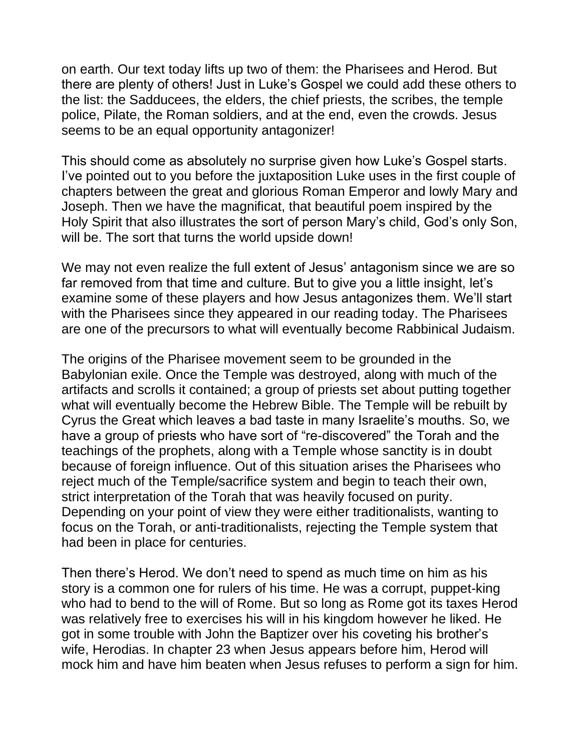on earth. Our text today lifts up two of them: the Pharisees and Herod. But there are plenty of others! Just in Luke's Gospel we could add these others to the list: the Sadducees, the elders, the chief priests, the scribes, the temple police, Pilate, the Roman soldiers, and at the end, even the crowds. Jesus seems to be an equal opportunity antagonizer!

This should come as absolutely no surprise given how Luke's Gospel starts. I've pointed out to you before the juxtaposition Luke uses in the first couple of chapters between the great and glorious Roman Emperor and lowly Mary and Joseph. Then we have the magnificat, that beautiful poem inspired by the Holy Spirit that also illustrates the sort of person Mary's child, God's only Son, will be. The sort that turns the world upside down!

We may not even realize the full extent of Jesus' antagonism since we are so far removed from that time and culture. But to give you a little insight, let's examine some of these players and how Jesus antagonizes them. We'll start with the Pharisees since they appeared in our reading today. The Pharisees are one of the precursors to what will eventually become Rabbinical Judaism.

The origins of the Pharisee movement seem to be grounded in the Babylonian exile. Once the Temple was destroyed, along with much of the artifacts and scrolls it contained; a group of priests set about putting together what will eventually become the Hebrew Bible. The Temple will be rebuilt by Cyrus the Great which leaves a bad taste in many Israelite's mouths. So, we have a group of priests who have sort of "re-discovered" the Torah and the teachings of the prophets, along with a Temple whose sanctity is in doubt because of foreign influence. Out of this situation arises the Pharisees who reject much of the Temple/sacrifice system and begin to teach their own, strict interpretation of the Torah that was heavily focused on purity. Depending on your point of view they were either traditionalists, wanting to focus on the Torah, or anti-traditionalists, rejecting the Temple system that had been in place for centuries.

Then there's Herod. We don't need to spend as much time on him as his story is a common one for rulers of his time. He was a corrupt, puppet-king who had to bend to the will of Rome. But so long as Rome got its taxes Herod was relatively free to exercises his will in his kingdom however he liked. He got in some trouble with John the Baptizer over his coveting his brother's wife, Herodias. In chapter 23 when Jesus appears before him, Herod will mock him and have him beaten when Jesus refuses to perform a sign for him.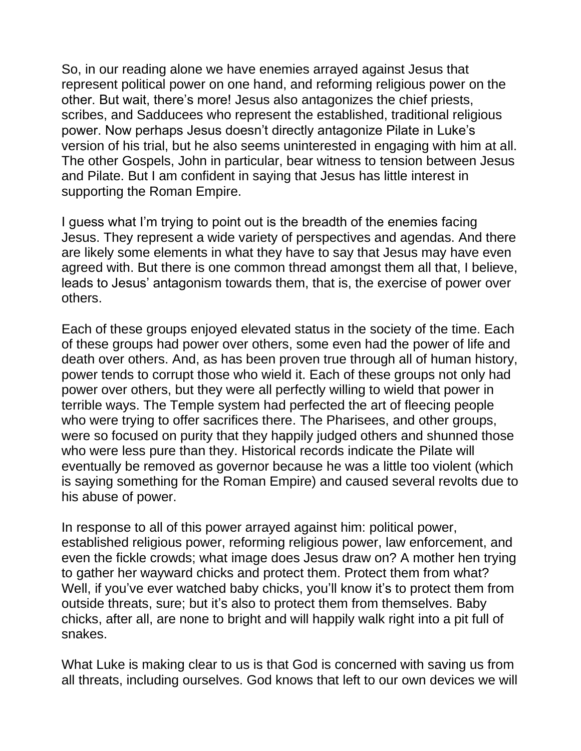So, in our reading alone we have enemies arrayed against Jesus that represent political power on one hand, and reforming religious power on the other. But wait, there's more! Jesus also antagonizes the chief priests, scribes, and Sadducees who represent the established, traditional religious power. Now perhaps Jesus doesn't directly antagonize Pilate in Luke's version of his trial, but he also seems uninterested in engaging with him at all. The other Gospels, John in particular, bear witness to tension between Jesus and Pilate. But I am confident in saying that Jesus has little interest in supporting the Roman Empire.

I guess what I'm trying to point out is the breadth of the enemies facing Jesus. They represent a wide variety of perspectives and agendas. And there are likely some elements in what they have to say that Jesus may have even agreed with. But there is one common thread amongst them all that, I believe, leads to Jesus' antagonism towards them, that is, the exercise of power over others.

Each of these groups enjoyed elevated status in the society of the time. Each of these groups had power over others, some even had the power of life and death over others. And, as has been proven true through all of human history, power tends to corrupt those who wield it. Each of these groups not only had power over others, but they were all perfectly willing to wield that power in terrible ways. The Temple system had perfected the art of fleecing people who were trying to offer sacrifices there. The Pharisees, and other groups, were so focused on purity that they happily judged others and shunned those who were less pure than they. Historical records indicate the Pilate will eventually be removed as governor because he was a little too violent (which is saying something for the Roman Empire) and caused several revolts due to his abuse of power.

In response to all of this power arrayed against him: political power, established religious power, reforming religious power, law enforcement, and even the fickle crowds; what image does Jesus draw on? A mother hen trying to gather her wayward chicks and protect them. Protect them from what? Well, if you've ever watched baby chicks, you'll know it's to protect them from outside threats, sure; but it's also to protect them from themselves. Baby chicks, after all, are none to bright and will happily walk right into a pit full of snakes.

What Luke is making clear to us is that God is concerned with saving us from all threats, including ourselves. God knows that left to our own devices we will